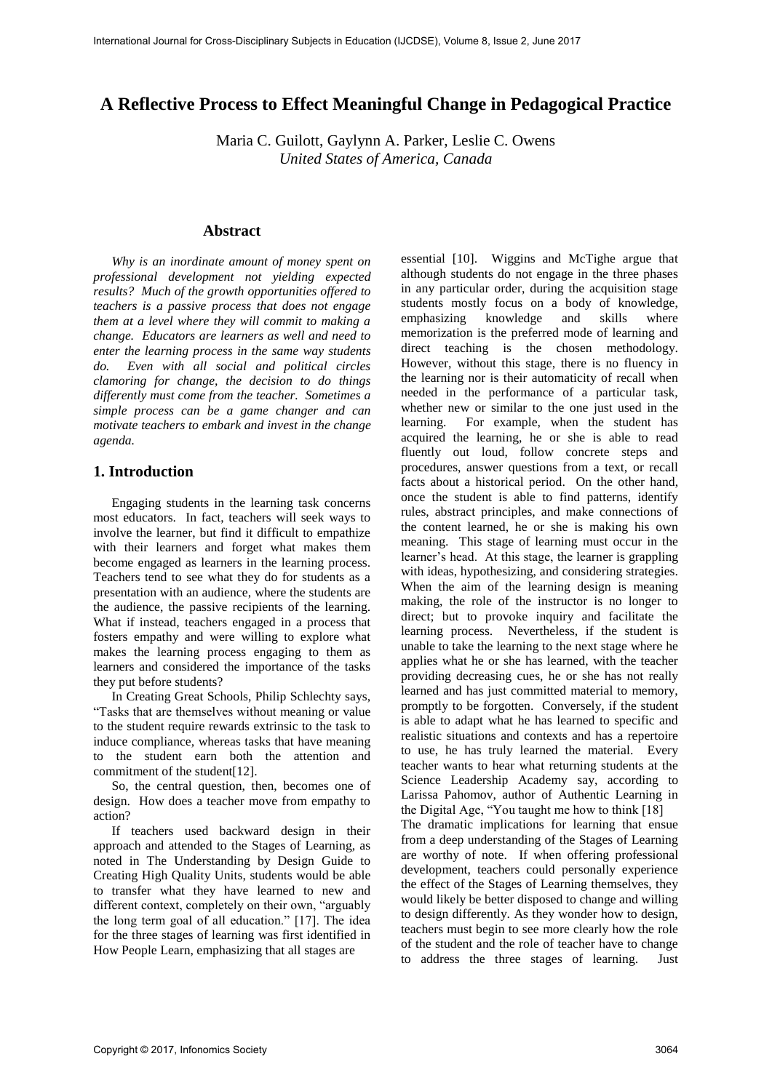# **A Reflective Process to Effect Meaningful Change in Pedagogical Practice**

Maria C. Guilott, Gaylynn A. Parker, Leslie C. Owens *United States of America, Canada*

#### **Abstract**

*Why is an inordinate amount of money spent on professional development not yielding expected results? Much of the growth opportunities offered to teachers is a passive process that does not engage them at a level where they will commit to making a change. Educators are learners as well and need to enter the learning process in the same way students do. Even with all social and political circles clamoring for change, the decision to do things differently must come from the teacher. Sometimes a simple process can be a game changer and can motivate teachers to embark and invest in the change agenda.* 

### **1. Introduction**

Engaging students in the learning task concerns most educators. In fact, teachers will seek ways to involve the learner, but find it difficult to empathize with their learners and forget what makes them become engaged as learners in the learning process. Teachers tend to see what they do for students as a presentation with an audience, where the students are the audience, the passive recipients of the learning. What if instead, teachers engaged in a process that fosters empathy and were willing to explore what makes the learning process engaging to them as learners and considered the importance of the tasks they put before students?

In Creating Great Schools, Philip Schlechty says, "Tasks that are themselves without meaning or value to the student require rewards extrinsic to the task to induce compliance, whereas tasks that have meaning to the student earn both the attention and commitment of the student[12].

So, the central question, then, becomes one of design. How does a teacher move from empathy to action?

If teachers used backward design in their approach and attended to the Stages of Learning, as noted in The Understanding by Design Guide to Creating High Quality Units, students would be able to transfer what they have learned to new and different context, completely on their own, "arguably the long term goal of all education." [17]. The idea for the three stages of learning was first identified in How People Learn, emphasizing that all stages are

essential [10]. Wiggins and McTighe argue that although students do not engage in the three phases in any particular order, during the acquisition stage students mostly focus on a body of knowledge, emphasizing knowledge and skills where memorization is the preferred mode of learning and direct teaching is the chosen methodology. However, without this stage, there is no fluency in the learning nor is their automaticity of recall when needed in the performance of a particular task, whether new or similar to the one just used in the learning. For example, when the student has acquired the learning, he or she is able to read fluently out loud, follow concrete steps and procedures, answer questions from a text, or recall facts about a historical period. On the other hand, once the student is able to find patterns, identify rules, abstract principles, and make connections of the content learned, he or she is making his own meaning. This stage of learning must occur in the learner's head. At this stage, the learner is grappling with ideas, hypothesizing, and considering strategies. When the aim of the learning design is meaning making, the role of the instructor is no longer to direct; but to provoke inquiry and facilitate the learning process. Nevertheless, if the student is unable to take the learning to the next stage where he applies what he or she has learned, with the teacher providing decreasing cues, he or she has not really learned and has just committed material to memory, promptly to be forgotten. Conversely, if the student is able to adapt what he has learned to specific and realistic situations and contexts and has a repertoire to use, he has truly learned the material. Every teacher wants to hear what returning students at the Science Leadership Academy say, according to Larissa Pahomov, author of Authentic Learning in the Digital Age, "You taught me how to think [18]

The dramatic implications for learning that ensue from a deep understanding of the Stages of Learning are worthy of note. If when offering professional development, teachers could personally experience the effect of the Stages of Learning themselves, they would likely be better disposed to change and willing to design differently. As they wonder how to design, teachers must begin to see more clearly how the role of the student and the role of teacher have to change to address the three stages of learning. Just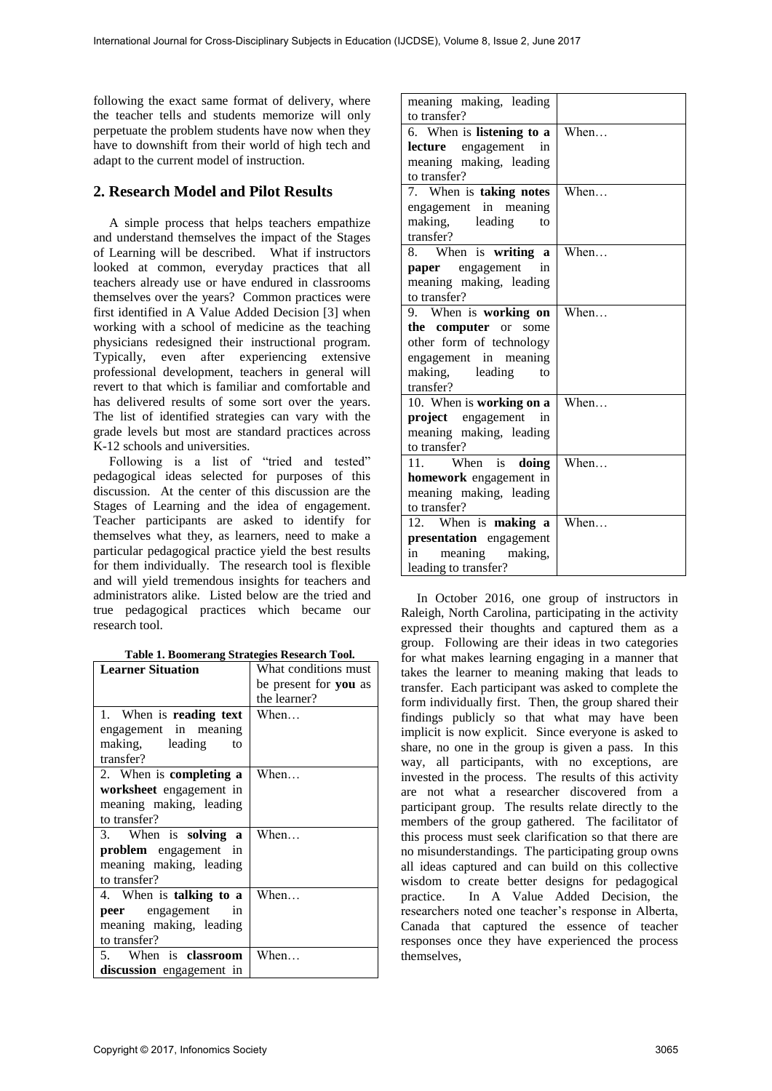following the exact same format of delivery, where the teacher tells and students memorize will only perpetuate the problem students have now when they have to downshift from their world of high tech and adapt to the current model of instruction.

## **2. Research Model and Pilot Results**

A simple process that helps teachers empathize and understand themselves the impact of the Stages of Learning will be described. What if instructors looked at common, everyday practices that all teachers already use or have endured in classrooms themselves over the years? Common practices were first identified in A Value Added Decision [3] when working with a school of medicine as the teaching physicians redesigned their instructional program. Typically, even after experiencing extensive professional development, teachers in general will revert to that which is familiar and comfortable and has delivered results of some sort over the years. The list of identified strategies can vary with the grade levels but most are standard practices across K-12 schools and universities.

Following is a list of "tried and tested" pedagogical ideas selected for purposes of this discussion. At the center of this discussion are the Stages of Learning and the idea of engagement. Teacher participants are asked to identify for themselves what they, as learners, need to make a particular pedagogical practice yield the best results for them individually. The research tool is flexible and will yield tremendous insights for teachers and administrators alike. Listed below are the tried and true pedagogical practices which became our research tool.

| <b>Learner Situation</b>       | What conditions must  |  |
|--------------------------------|-----------------------|--|
|                                | be present for you as |  |
|                                | the learner?          |  |
| 1. When is <b>reading text</b> | When                  |  |
| engagement in meaning          |                       |  |
| making, leading<br>to          |                       |  |
| transfer?                      |                       |  |
| 2. When is <b>completing a</b> | When                  |  |
| worksheet engagement in        |                       |  |
| meaning making, leading        |                       |  |
| to transfer?                   |                       |  |
| 3. When is solving a           | When                  |  |
| <b>problem</b> engagement in   |                       |  |
| meaning making, leading        |                       |  |
| to transfer?                   |                       |  |
| 4. When is <b>talking to a</b> | When                  |  |
| <b>peer</b> engagement<br>in.  |                       |  |
| meaning making, leading        |                       |  |
| to transfer?                   |                       |  |
| 5. When is <b>classroom</b>    | When                  |  |
| discussion engagement in       |                       |  |

| meaning making, leading                          |      |
|--------------------------------------------------|------|
| to transfer?                                     |      |
| 6. When is listening to a                        | When |
| engagement<br>lecture<br>in                      |      |
| meaning making, leading                          |      |
| to transfer?                                     |      |
| 7. When is taking notes                          | When |
| engagement in meaning                            |      |
| making, leading<br>to                            |      |
| transfer?                                        |      |
| 8. When is writing a                             | When |
| paper engagement<br>in                           |      |
| meaning making, leading                          |      |
| to transfer?                                     |      |
| 9. When is working on                            | When |
| the computer or<br>some                          |      |
| other form of technology                         |      |
| engagement in meaning                            |      |
| making, leading<br>to                            |      |
|                                                  |      |
| transfer?                                        |      |
| 10. When is working on a                         | When |
| project engagement<br>in                         |      |
| meaning making, leading                          |      |
| to transfer?                                     |      |
| 11.<br>When is <b>doing</b>                      | When |
| homework engagement in                           |      |
| meaning making, leading                          |      |
| to transfer?                                     |      |
| 12. When is making a                             | When |
| presentation engagement                          |      |
| meaning<br>making,<br>in<br>leading to transfer? |      |

In October 2016, one group of instructors in Raleigh, North Carolina, participating in the activity expressed their thoughts and captured them as a group. Following are their ideas in two categories for what makes learning engaging in a manner that takes the learner to meaning making that leads to transfer. Each participant was asked to complete the form individually first. Then, the group shared their findings publicly so that what may have been implicit is now explicit. Since everyone is asked to share, no one in the group is given a pass. In this way, all participants, with no exceptions, are invested in the process. The results of this activity are not what a researcher discovered from a participant group. The results relate directly to the members of the group gathered. The facilitator of this process must seek clarification so that there are no misunderstandings. The participating group owns all ideas captured and can build on this collective wisdom to create better designs for pedagogical practice. In A Value Added Decision, the researchers noted one teacher's response in Alberta, Canada that captured the essence of teacher responses once they have experienced the process themselves,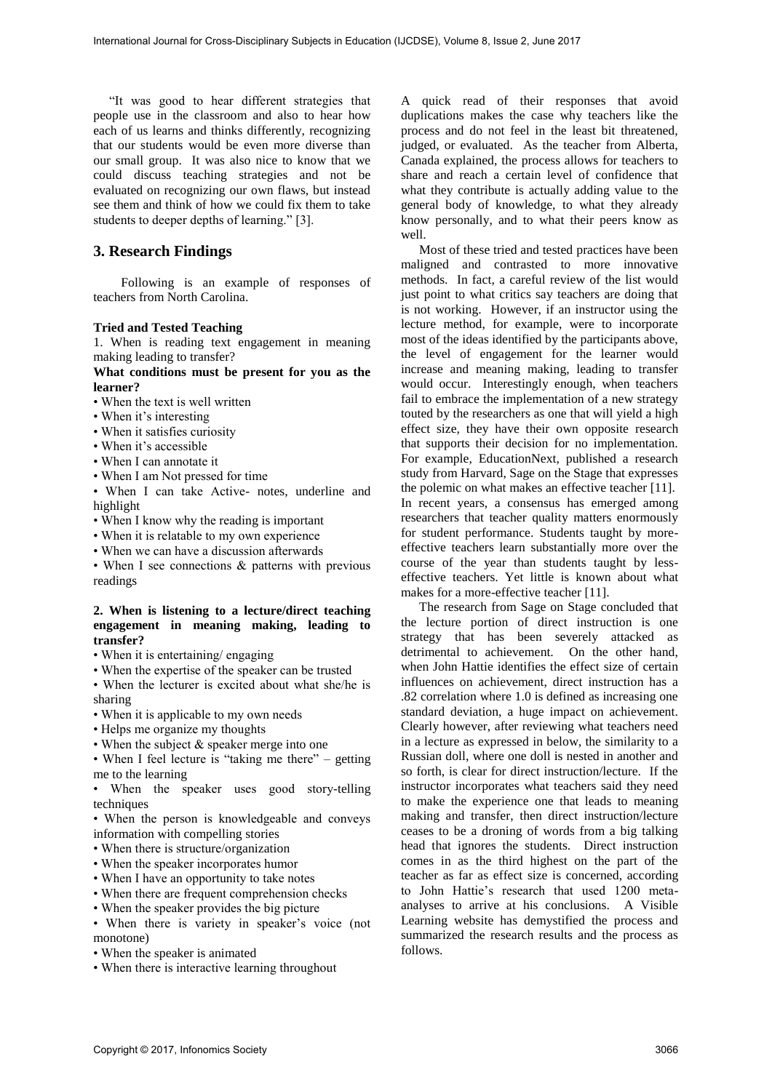"It was good to hear different strategies that people use in the classroom and also to hear how each of us learns and thinks differently, recognizing that our students would be even more diverse than our small group. It was also nice to know that we could discuss teaching strategies and not be evaluated on recognizing our own flaws, but instead see them and think of how we could fix them to take students to deeper depths of learning." [3].

### **3. Research Findings**

Following is an example of responses of teachers from North Carolina.

#### **Tried and Tested Teaching**

1. When is reading text engagement in meaning making leading to transfer?

#### **What conditions must be present for you as the learner?**

- When the text is well written
- When it's interesting
- When it satisfies curiosity
- When it's accessible
- When I can annotate it
- When I am Not pressed for time

• When I can take Active- notes, underline and highlight

- When I know why the reading is important
- When it is relatable to my own experience
- When we can have a discussion afterwards

• When I see connections & patterns with previous readings

#### **2. When is listening to a lecture/direct teaching engagement in meaning making, leading to transfer?**

- When it is entertaining/ engaging
- When the expertise of the speaker can be trusted
- When the lecturer is excited about what she/he is sharing
- When it is applicable to my own needs
- Helps me organize my thoughts
- When the subject & speaker merge into one

• When I feel lecture is "taking me there" – getting me to the learning

• When the speaker uses good story-telling techniques

• When the person is knowledgeable and conveys information with compelling stories

- When there is structure/organization
- When the speaker incorporates humor
- When I have an opportunity to take notes
- When there are frequent comprehension checks
- When the speaker provides the big picture

• When there is variety in speaker's voice (not monotone)

- When the speaker is animated
- When there is interactive learning throughout

A quick read of their responses that avoid duplications makes the case why teachers like the process and do not feel in the least bit threatened, judged, or evaluated. As the teacher from Alberta, Canada explained, the process allows for teachers to share and reach a certain level of confidence that what they contribute is actually adding value to the general body of knowledge, to what they already know personally, and to what their peers know as well.

Most of these tried and tested practices have been maligned and contrasted to more innovative methods. In fact, a careful review of the list would just point to what critics say teachers are doing that is not working. However, if an instructor using the lecture method, for example, were to incorporate most of the ideas identified by the participants above, the level of engagement for the learner would increase and meaning making, leading to transfer would occur. Interestingly enough, when teachers fail to embrace the implementation of a new strategy touted by the researchers as one that will yield a high effect size, they have their own opposite research that supports their decision for no implementation. For example, EducationNext, published a research study from Harvard, Sage on the Stage that expresses the polemic on what makes an effective teacher [11]. In recent years, a consensus has emerged among researchers that teacher quality matters enormously for student performance. Students taught by moreeffective teachers learn substantially more over the course of the year than students taught by lesseffective teachers. Yet little is known about what makes for a more-effective teacher [11].

The research from Sage on Stage concluded that the lecture portion of direct instruction is one strategy that has been severely attacked as detrimental to achievement. On the other hand, when John Hattie identifies the effect size of certain influences on achievement, direct instruction has a .82 correlation where 1.0 is defined as increasing one standard deviation, a huge impact on achievement. Clearly however, after reviewing what teachers need in a lecture as expressed in below, the similarity to a Russian doll, where one doll is nested in another and so forth, is clear for direct instruction/lecture. If the instructor incorporates what teachers said they need to make the experience one that leads to meaning making and transfer, then direct instruction/lecture ceases to be a droning of words from a big talking head that ignores the students. Direct instruction comes in as the third highest on the part of the teacher as far as effect size is concerned, according to John Hattie's research that used 1200 metaanalyses to arrive at his conclusions. A Visible Learning website has demystified the process and summarized the research results and the process as follows.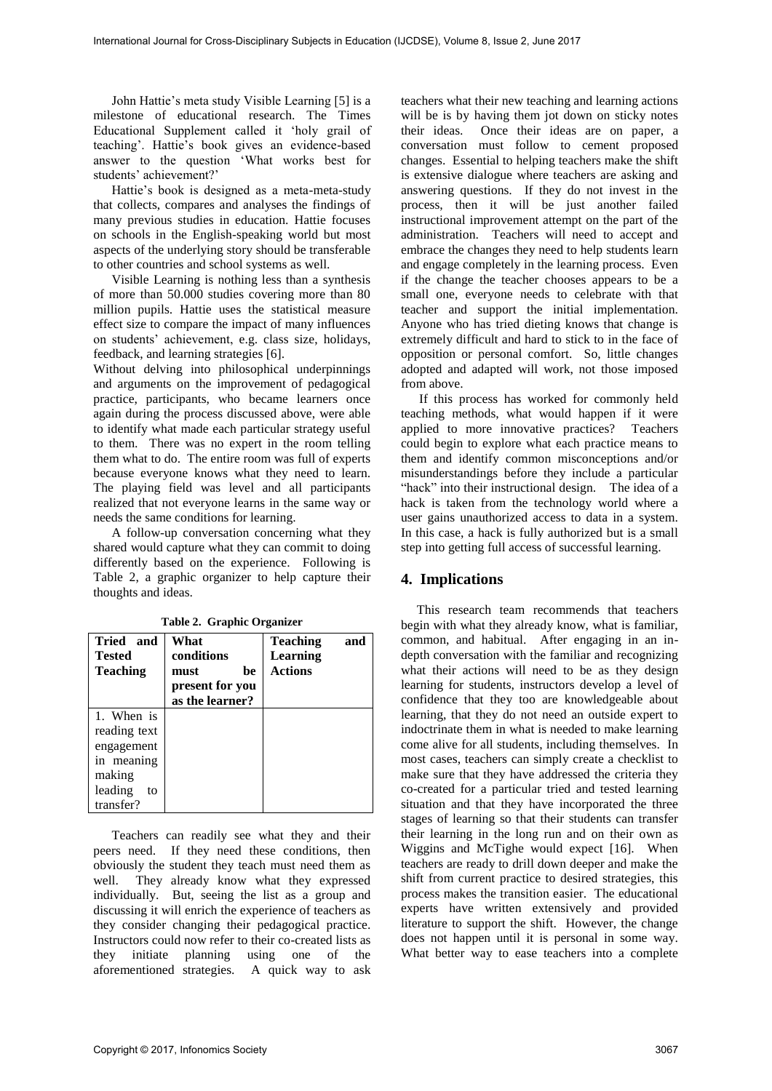John Hattie's meta study Visible Learning [5] is a milestone of educational research. The Times Educational Supplement called it 'holy grail of teaching'. Hattie's book gives an evidence-based answer to the question 'What works best for students' achievement?'

Hattie's book is designed as a meta-meta-study that collects, compares and analyses the findings of many previous studies in education. Hattie focuses on schools in the English-speaking world but most aspects of the underlying story should be transferable to other countries and school systems as well.

Visible Learning is nothing less than a synthesis of more than 50.000 studies covering more than 80 million pupils. Hattie uses the statistical measure effect size to compare the impact of many influences on students' achievement, e.g. class size, holidays, feedback, and learning strategies [6].

Without delving into philosophical underpinnings and arguments on the improvement of pedagogical practice, participants, who became learners once again during the process discussed above, were able to identify what made each particular strategy useful to them. There was no expert in the room telling them what to do. The entire room was full of experts because everyone knows what they need to learn. The playing field was level and all participants realized that not everyone learns in the same way or needs the same conditions for learning.

A follow-up conversation concerning what they shared would capture what they can commit to doing differently based on the experience. Following is Table 2, a graphic organizer to help capture their thoughts and ideas.

| Tried and<br><b>Tested</b> | What<br>conditions | <b>Teaching</b><br>Learning | and |
|----------------------------|--------------------|-----------------------------|-----|
| <b>Teaching</b>            | must<br>be         | <b>Actions</b>              |     |
|                            | present for you    |                             |     |
|                            | as the learner?    |                             |     |
| 1. When is                 |                    |                             |     |
| reading text               |                    |                             |     |
| engagement                 |                    |                             |     |
| in meaning                 |                    |                             |     |
| making                     |                    |                             |     |
| leading<br>to              |                    |                             |     |
| transfer?                  |                    |                             |     |

**Table 2. Graphic Organizer** 

Teachers can readily see what they and their peers need. If they need these conditions, then obviously the student they teach must need them as well. They already know what they expressed individually. But, seeing the list as a group and discussing it will enrich the experience of teachers as they consider changing their pedagogical practice. Instructors could now refer to their co-created lists as they initiate planning using one of the aforementioned strategies. A quick way to ask

teachers what their new teaching and learning actions will be is by having them jot down on sticky notes their ideas. Once their ideas are on paper, a conversation must follow to cement proposed changes. Essential to helping teachers make the shift is extensive dialogue where teachers are asking and answering questions. If they do not invest in the process, then it will be just another failed instructional improvement attempt on the part of the administration. Teachers will need to accept and embrace the changes they need to help students learn and engage completely in the learning process. Even if the change the teacher chooses appears to be a small one, everyone needs to celebrate with that teacher and support the initial implementation. Anyone who has tried dieting knows that change is extremely difficult and hard to stick to in the face of opposition or personal comfort. So, little changes adopted and adapted will work, not those imposed from above.

If this process has worked for commonly held teaching methods, what would happen if it were applied to more innovative practices? Teachers could begin to explore what each practice means to them and identify common misconceptions and/or misunderstandings before they include a particular "hack" into their instructional design. The idea of a hack is taken from the technology world where a user gains unauthorized access to data in a system. In this case, a hack is fully authorized but is a small step into getting full access of successful learning.

# **4. Implications**

This research team recommends that teachers begin with what they already know, what is familiar, common, and habitual. After engaging in an indepth conversation with the familiar and recognizing what their actions will need to be as they design learning for students, instructors develop a level of confidence that they too are knowledgeable about learning, that they do not need an outside expert to indoctrinate them in what is needed to make learning come alive for all students, including themselves. In most cases, teachers can simply create a checklist to make sure that they have addressed the criteria they co-created for a particular tried and tested learning situation and that they have incorporated the three stages of learning so that their students can transfer their learning in the long run and on their own as Wiggins and McTighe would expect [16]. When teachers are ready to drill down deeper and make the shift from current practice to desired strategies, this process makes the transition easier. The educational experts have written extensively and provided literature to support the shift. However, the change does not happen until it is personal in some way. What better way to ease teachers into a complete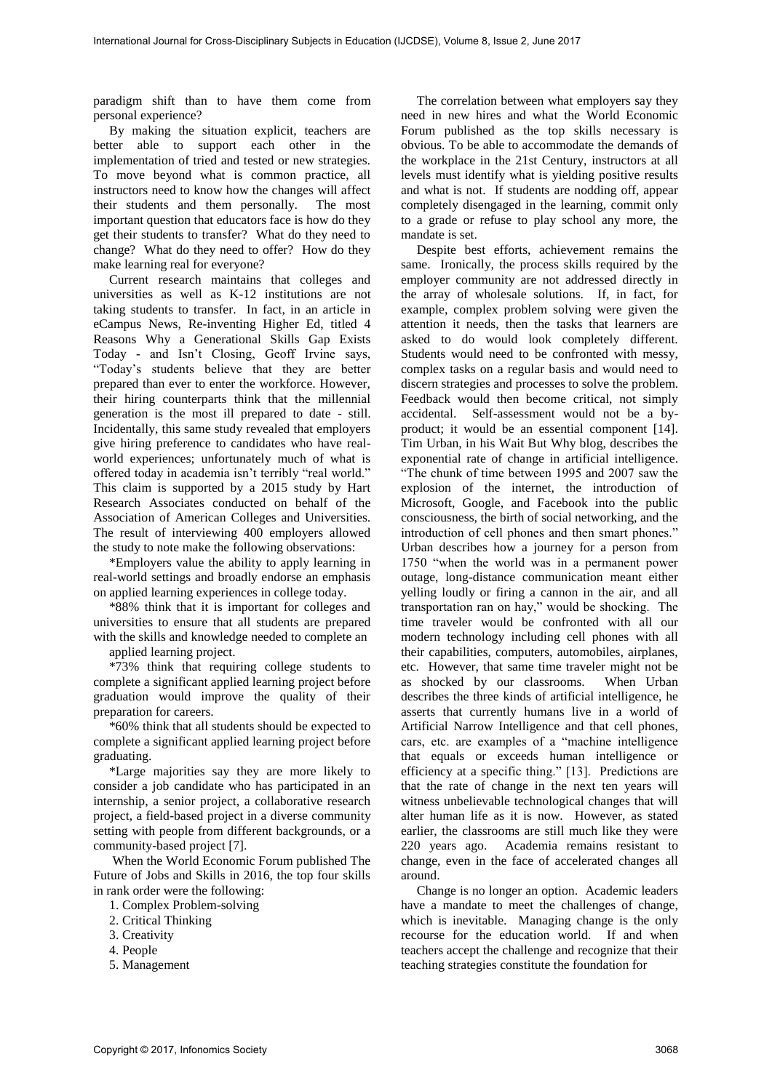paradigm shift than to have them come from personal experience?

By making the situation explicit, teachers are better able to support each other in the implementation of tried and tested or new strategies. To move beyond what is common practice, all instructors need to know how the changes will affect their students and them personally. The most important question that educators face is how do they get their students to transfer? What do they need to change? What do they need to offer? How do they make learning real for everyone?

Current research maintains that colleges and universities as well as K-12 institutions are not taking students to transfer. In fact, in an article in eCampus News, Re-inventing Higher Ed, titled 4 Reasons Why a Generational Skills Gap Exists Today - and Isn't Closing, Geoff Irvine says, "Today's students believe that they are better prepared than ever to enter the workforce. However, their hiring counterparts think that the millennial generation is the most ill prepared to date - still. Incidentally, this same study revealed that employers give hiring preference to candidates who have realworld experiences; unfortunately much of what is offered today in academia isn't terribly "real world." This claim is supported by a 2015 study by Hart Research Associates conducted on behalf of the Association of American Colleges and Universities. The result of interviewing 400 employers allowed the study to note make the following observations:

\*Employers value the ability to apply learning in real-world settings and broadly endorse an emphasis on applied learning experiences in college today.

\*88% think that it is important for colleges and universities to ensure that all students are prepared with the skills and knowledge needed to complete an

applied learning project.

\*73% think that requiring college students to complete a significant applied learning project before graduation would improve the quality of their preparation for careers.

\*60% think that all students should be expected to complete a significant applied learning project before graduating.

\*Large majorities say they are more likely to consider a job candidate who has participated in an internship, a senior project, a collaborative research project, a field-based project in a diverse community setting with people from different backgrounds, or a community-based project [7].

 When the World Economic Forum published The Future of Jobs and Skills in 2016, the top four skills in rank order were the following:

- 1. Complex Problem-solving
- 2. Critical Thinking
- 3. Creativity
- 4. People
- 5. Management

The correlation between what employers say they need in new hires and what the World Economic Forum published as the top skills necessary is obvious. To be able to accommodate the demands of the workplace in the 21st Century, instructors at all levels must identify what is yielding positive results and what is not. If students are nodding off, appear completely disengaged in the learning, commit only to a grade or refuse to play school any more, the mandate is set.

Despite best efforts, achievement remains the same. Ironically, the process skills required by the employer community are not addressed directly in the array of wholesale solutions. If, in fact, for example, complex problem solving were given the attention it needs, then the tasks that learners are asked to do would look completely different. Students would need to be confronted with messy, complex tasks on a regular basis and would need to discern strategies and processes to solve the problem. Feedback would then become critical, not simply accidental. Self-assessment would not be a byproduct; it would be an essential component [14]. Tim Urban, in his Wait But Why blog, describes the exponential rate of change in artificial intelligence. "The chunk of time between 1995 and 2007 saw the explosion of the internet, the introduction of Microsoft, Google, and Facebook into the public consciousness, the birth of social networking, and the introduction of cell phones and then smart phones." Urban describes how a journey for a person from 1750 "when the world was in a permanent power outage, long-distance communication meant either yelling loudly or firing a cannon in the air, and all transportation ran on hay," would be shocking. The time traveler would be confronted with all our modern technology including cell phones with all their capabilities, computers, automobiles, airplanes, etc. However, that same time traveler might not be as shocked by our classrooms. When Urban describes the three kinds of artificial intelligence, he asserts that currently humans live in a world of Artificial Narrow Intelligence and that cell phones, cars, etc. are examples of a "machine intelligence that equals or exceeds human intelligence or efficiency at a specific thing." [13]. Predictions are that the rate of change in the next ten years will witness unbelievable technological changes that will alter human life as it is now. However, as stated earlier, the classrooms are still much like they were 220 years ago. Academia remains resistant to change, even in the face of accelerated changes all around.

Change is no longer an option. Academic leaders have a mandate to meet the challenges of change, which is inevitable. Managing change is the only recourse for the education world. If and when teachers accept the challenge and recognize that their teaching strategies constitute the foundation for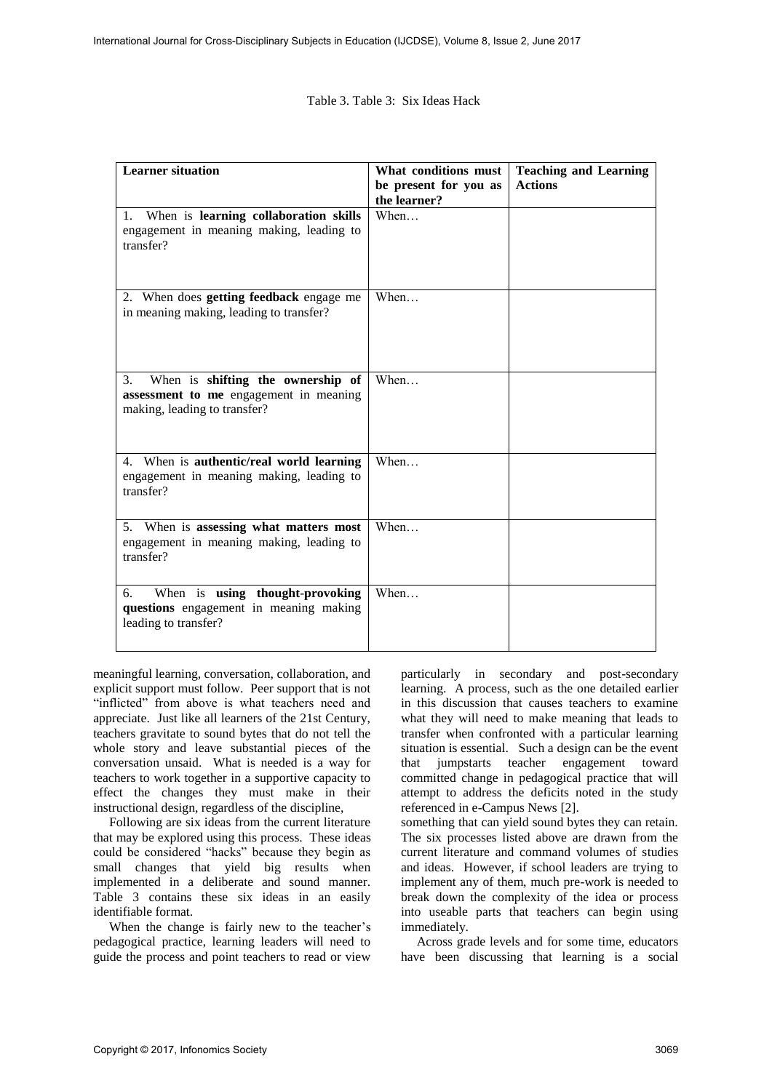Table 3. Table 3: Six Ideas Hack

| <b>Learner</b> situation                                                                                                      | What conditions must<br>be present for you as<br>the learner? | <b>Teaching and Learning</b><br><b>Actions</b> |
|-------------------------------------------------------------------------------------------------------------------------------|---------------------------------------------------------------|------------------------------------------------|
| 1. When is learning collaboration skills<br>engagement in meaning making, leading to<br>transfer?                             | When                                                          |                                                |
| 2. When does getting feedback engage me<br>in meaning making, leading to transfer?                                            | When                                                          |                                                |
| When is shifting the ownership of<br>3 <sub>1</sub><br>assessment to me engagement in meaning<br>making, leading to transfer? | When                                                          |                                                |
| 4. When is authentic/real world learning<br>engagement in meaning making, leading to<br>transfer?                             | When                                                          |                                                |
| 5. When is assessing what matters most<br>engagement in meaning making, leading to<br>transfer?                               | When                                                          |                                                |
| When is using thought-provoking<br>6.<br>questions engagement in meaning making<br>leading to transfer?                       | When                                                          |                                                |

meaningful learning, conversation, collaboration, and explicit support must follow. Peer support that is not "inflicted" from above is what teachers need and appreciate. Just like all learners of the 21st Century, teachers gravitate to sound bytes that do not tell the whole story and leave substantial pieces of the conversation unsaid. What is needed is a way for teachers to work together in a supportive capacity to effect the changes they must make in their instructional design, regardless of the discipline,

Following are six ideas from the current literature that may be explored using this process. These ideas could be considered "hacks" because they begin as small changes that yield big results when implemented in a deliberate and sound manner. Table 3 contains these six ideas in an easily identifiable format.

When the change is fairly new to the teacher's pedagogical practice, learning leaders will need to guide the process and point teachers to read or view

particularly in secondary and post-secondary learning. A process, such as the one detailed earlier in this discussion that causes teachers to examine what they will need to make meaning that leads to transfer when confronted with a particular learning situation is essential. Such a design can be the event that jumpstarts teacher engagement toward committed change in pedagogical practice that will attempt to address the deficits noted in the study referenced in e-Campus News [2].

something that can yield sound bytes they can retain. The six processes listed above are drawn from the current literature and command volumes of studies and ideas. However, if school leaders are trying to implement any of them, much pre-work is needed to break down the complexity of the idea or process into useable parts that teachers can begin using immediately.

Across grade levels and for some time, educators have been discussing that learning is a social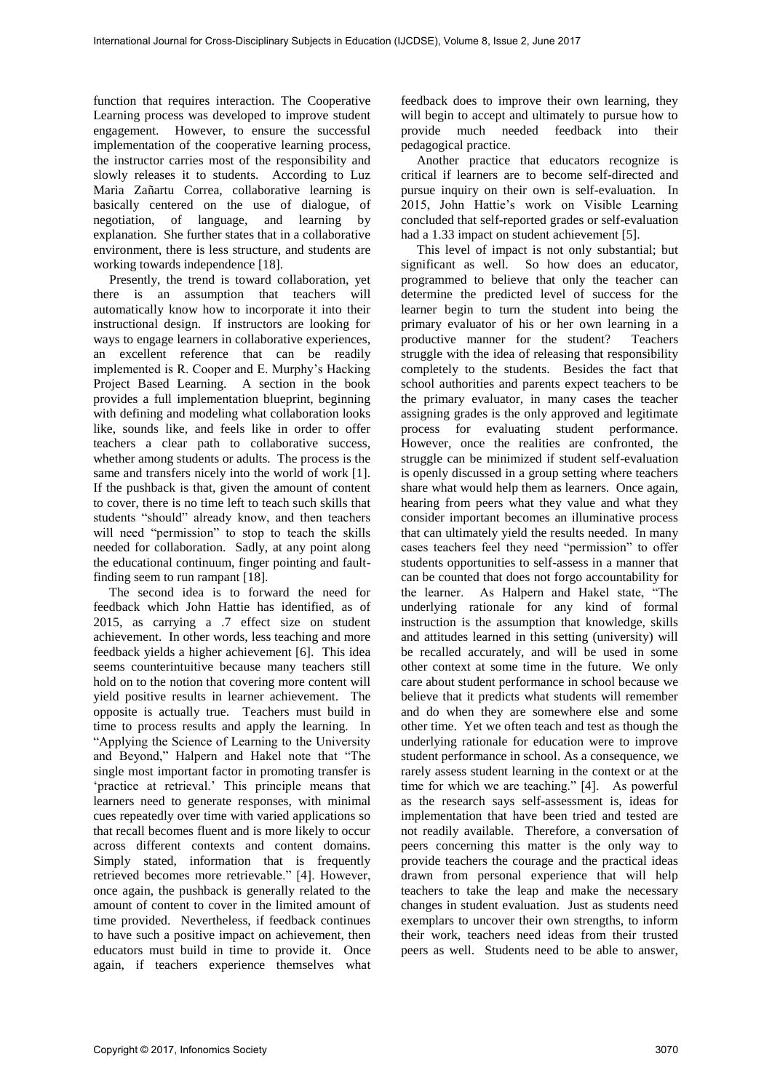function that requires interaction. The Cooperative Learning process was developed to improve student engagement. However, to ensure the successful implementation of the cooperative learning process, the instructor carries most of the responsibility and slowly releases it to students. According to Luz Maria Zañartu Correa, collaborative learning is basically centered on the use of dialogue, of negotiation, of language, and learning by explanation. She further states that in a collaborative environment, there is less structure, and students are working towards independence [18].

Presently, the trend is toward collaboration, yet there is an assumption that teachers will automatically know how to incorporate it into their instructional design. If instructors are looking for ways to engage learners in collaborative experiences, an excellent reference that can be readily implemented is R. Cooper and E. Murphy's Hacking Project Based Learning. A section in the book provides a full implementation blueprint, beginning with defining and modeling what collaboration looks like, sounds like, and feels like in order to offer teachers a clear path to collaborative success, whether among students or adults. The process is the same and transfers nicely into the world of work [1]. If the pushback is that, given the amount of content to cover, there is no time left to teach such skills that students "should" already know, and then teachers will need "permission" to stop to teach the skills needed for collaboration. Sadly, at any point along the educational continuum, finger pointing and faultfinding seem to run rampant [18].

The second idea is to forward the need for feedback which John Hattie has identified, as of 2015, as carrying a .7 effect size on student achievement. In other words, less teaching and more feedback yields a higher achievement [6]. This idea seems counterintuitive because many teachers still hold on to the notion that covering more content will yield positive results in learner achievement. The opposite is actually true. Teachers must build in time to process results and apply the learning. In "Applying the Science of Learning to the University and Beyond," Halpern and Hakel note that "The single most important factor in promoting transfer is 'practice at retrieval.' This principle means that learners need to generate responses, with minimal cues repeatedly over time with varied applications so that recall becomes fluent and is more likely to occur across different contexts and content domains. Simply stated, information that is frequently retrieved becomes more retrievable." [4]. However, once again, the pushback is generally related to the amount of content to cover in the limited amount of time provided. Nevertheless, if feedback continues to have such a positive impact on achievement, then educators must build in time to provide it. Once again, if teachers experience themselves what

feedback does to improve their own learning, they will begin to accept and ultimately to pursue how to provide much needed feedback into their pedagogical practice.

Another practice that educators recognize is critical if learners are to become self-directed and pursue inquiry on their own is self-evaluation. In 2015, John Hattie's work on Visible Learning concluded that self-reported grades or self-evaluation had a 1.33 impact on student achievement [5].

This level of impact is not only substantial; but significant as well. So how does an educator, programmed to believe that only the teacher can determine the predicted level of success for the learner begin to turn the student into being the primary evaluator of his or her own learning in a productive manner for the student? Teachers struggle with the idea of releasing that responsibility completely to the students. Besides the fact that school authorities and parents expect teachers to be the primary evaluator, in many cases the teacher assigning grades is the only approved and legitimate process for evaluating student performance. However, once the realities are confronted, the struggle can be minimized if student self-evaluation is openly discussed in a group setting where teachers share what would help them as learners. Once again, hearing from peers what they value and what they consider important becomes an illuminative process that can ultimately yield the results needed. In many cases teachers feel they need "permission" to offer students opportunities to self-assess in a manner that can be counted that does not forgo accountability for the learner. As Halpern and Hakel state, "The underlying rationale for any kind of formal instruction is the assumption that knowledge, skills and attitudes learned in this setting (university) will be recalled accurately, and will be used in some other context at some time in the future. We only care about student performance in school because we believe that it predicts what students will remember and do when they are somewhere else and some other time. Yet we often teach and test as though the underlying rationale for education were to improve student performance in school. As a consequence, we rarely assess student learning in the context or at the time for which we are teaching." [4]. As powerful as the research says self-assessment is, ideas for implementation that have been tried and tested are not readily available. Therefore, a conversation of peers concerning this matter is the only way to provide teachers the courage and the practical ideas drawn from personal experience that will help teachers to take the leap and make the necessary changes in student evaluation. Just as students need exemplars to uncover their own strengths, to inform their work, teachers need ideas from their trusted peers as well. Students need to be able to answer,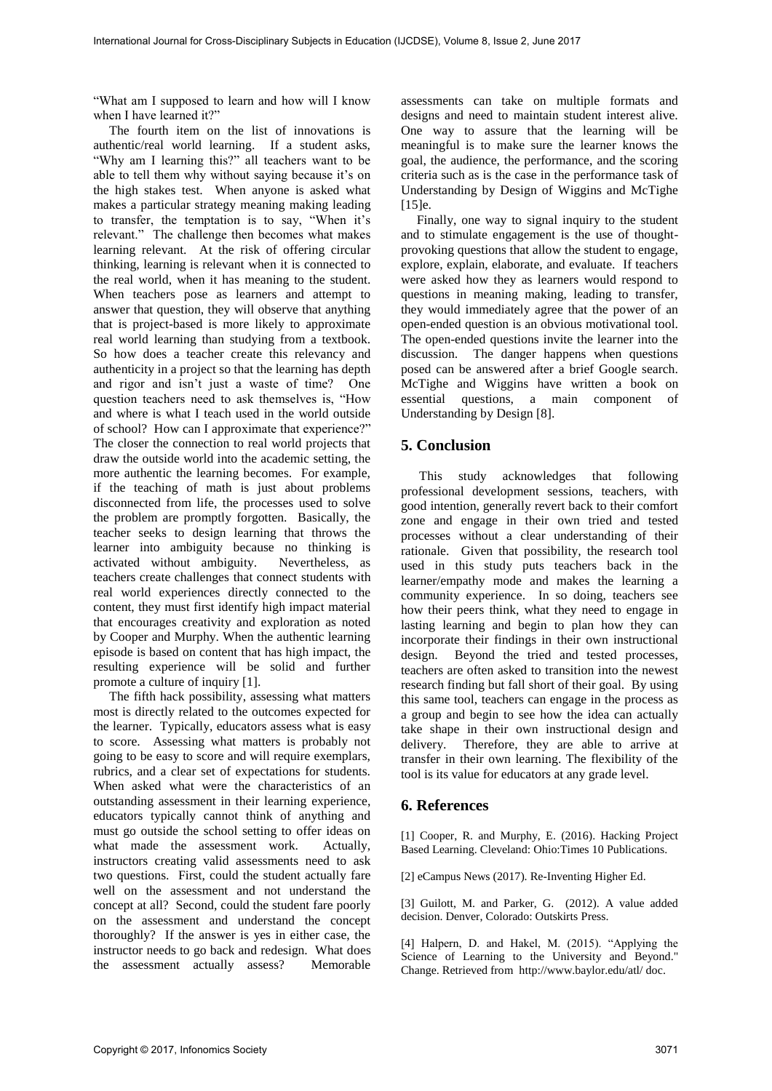"What am I supposed to learn and how will I know when I have learned it?"

The fourth item on the list of innovations is authentic/real world learning. If a student asks, "Why am I learning this?" all teachers want to be able to tell them why without saying because it's on the high stakes test. When anyone is asked what makes a particular strategy meaning making leading to transfer, the temptation is to say, "When it's relevant." The challenge then becomes what makes learning relevant. At the risk of offering circular thinking, learning is relevant when it is connected to the real world, when it has meaning to the student. When teachers pose as learners and attempt to answer that question, they will observe that anything that is project-based is more likely to approximate real world learning than studying from a textbook. So how does a teacher create this relevancy and authenticity in a project so that the learning has depth and rigor and isn't just a waste of time? One question teachers need to ask themselves is, "How and where is what I teach used in the world outside of school? How can I approximate that experience?" The closer the connection to real world projects that draw the outside world into the academic setting, the more authentic the learning becomes. For example, if the teaching of math is just about problems disconnected from life, the processes used to solve the problem are promptly forgotten. Basically, the teacher seeks to design learning that throws the learner into ambiguity because no thinking is activated without ambiguity. Nevertheless, as teachers create challenges that connect students with real world experiences directly connected to the content, they must first identify high impact material that encourages creativity and exploration as noted by Cooper and Murphy. When the authentic learning episode is based on content that has high impact, the resulting experience will be solid and further promote a culture of inquiry [1].

The fifth hack possibility, assessing what matters most is directly related to the outcomes expected for the learner. Typically, educators assess what is easy to score. Assessing what matters is probably not going to be easy to score and will require exemplars, rubrics, and a clear set of expectations for students. When asked what were the characteristics of an outstanding assessment in their learning experience, educators typically cannot think of anything and must go outside the school setting to offer ideas on what made the assessment work. Actually, instructors creating valid assessments need to ask two questions. First, could the student actually fare well on the assessment and not understand the concept at all? Second, could the student fare poorly on the assessment and understand the concept thoroughly? If the answer is yes in either case, the instructor needs to go back and redesign. What does the assessment actually assess? Memorable

assessments can take on multiple formats and designs and need to maintain student interest alive. One way to assure that the learning will be meaningful is to make sure the learner knows the goal, the audience, the performance, and the scoring criteria such as is the case in the performance task of Understanding by Design of Wiggins and McTighe [15]e.

Finally, one way to signal inquiry to the student and to stimulate engagement is the use of thoughtprovoking questions that allow the student to engage, explore, explain, elaborate, and evaluate. If teachers were asked how they as learners would respond to questions in meaning making, leading to transfer, they would immediately agree that the power of an open-ended question is an obvious motivational tool. The open-ended questions invite the learner into the discussion. The danger happens when questions posed can be answered after a brief Google search. McTighe and Wiggins have written a book on essential questions, a main component of Understanding by Design [8].

## **5. Conclusion**

This study acknowledges that following professional development sessions, teachers, with good intention, generally revert back to their comfort zone and engage in their own tried and tested processes without a clear understanding of their rationale. Given that possibility, the research tool used in this study puts teachers back in the learner/empathy mode and makes the learning a community experience. In so doing, teachers see how their peers think, what they need to engage in lasting learning and begin to plan how they can incorporate their findings in their own instructional design. Beyond the tried and tested processes, teachers are often asked to transition into the newest research finding but fall short of their goal. By using this same tool, teachers can engage in the process as a group and begin to see how the idea can actually take shape in their own instructional design and delivery. Therefore, they are able to arrive at transfer in their own learning. The flexibility of the tool is its value for educators at any grade level.

### **6. References**

[1] Cooper, R. and Murphy, E. (2016). Hacking Project Based Learning. Cleveland: Ohio:Times 10 Publications.

[2] eCampus News (2017). Re-Inventing Higher Ed.

[3] Guilott, M. and Parker, G. (2012). A value added decision. Denver, Colorado: Outskirts Press.

[4] Halpern, D. and Hakel, M. (2015). "Applying the Science of Learning to the University and Beyond." Change. Retrieved from http://www.baylor.edu/atl/ doc.